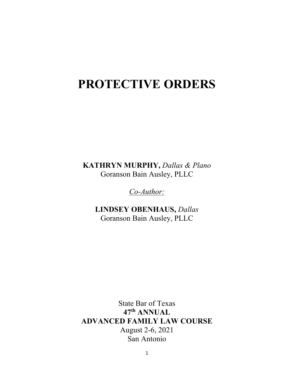# **PROTECTIVE ORDERS**

**KATHRYN MURPHY,** *Dallas & Plano* Goranson Bain Ausley, PLLC

*Co-Author:*

**LINDSEY OBENHAUS,** *Dallas* Goranson Bain Ausley, PLLC

State Bar of Texas **47th ANNUAL ADVANCED FAMILY LAW COURSE** August 2-6, 2021 San Antonio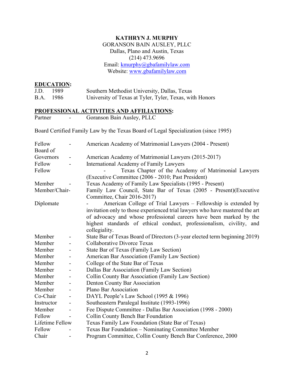## **KATHRYN J. MURPHY**

GORANSON BAIN AUSLEY, PLLC Dallas, Plano and Austin, Texas (214) 473.9696 Email: [kmurphy@gbafamilylaw.com](mailto:Kathryn@koonsfuller.com) Website: [www.gbafamilylaw.com](http://www.gbafamilylaw.com/)

# **EDUCATION:**

| J.D. 1989 | Southern Methodist University, Dallas, Texas            |
|-----------|---------------------------------------------------------|
| B.A. 1986 | University of Texas at Tyler, Tyler, Texas, with Honors |

## **PROFESSIONAL ACTIVITIES AND AFFILIATIONS:**

Partner - Goranson Bain Ausley, PLLC

Board Certified Family Law by the Texas Board of Legal Specialization (since 1995)

| Fellow          |                          | American Academy of Matrimonial Lawyers (2004 - Present)                     |
|-----------------|--------------------------|------------------------------------------------------------------------------|
| Board of        |                          |                                                                              |
| Governors       |                          | American Academy of Matrimonial Lawyers (2015-2017)                          |
| Fellow          |                          | International Academy of Family Lawyers                                      |
| Fellow          |                          | Texas Chapter of the Academy of Matrimonial Lawyers                          |
|                 |                          | (Executive Committee (2006 - 2010; Past President)                           |
| Member          |                          | Texas Academy of Family Law Specialists (1995 - Present)                     |
| Member/Chair-   |                          | Family Law Council, State Bar of Texas (2005 - Present)(Executive            |
|                 |                          | Committee, Chair 2016-2017)                                                  |
| Diplomate       |                          | American College of Trial Lawyers - Fellowship is extended by                |
|                 |                          | invitation only to those experienced trial lawyers who have mastered the art |
|                 |                          | of advocacy and whose professional careers have been marked by the           |
|                 |                          | highest standards of ethical conduct, professionalism, civility, and         |
|                 |                          | collegiality.                                                                |
| Member          |                          | State Bar of Texas Board of Directors (3-year elected term beginning 2019)   |
| Member          |                          | Collaborative Divorce Texas                                                  |
| Member          |                          | State Bar of Texas (Family Law Section)                                      |
| Member          | $\overline{\phantom{0}}$ | American Bar Association (Family Law Section)                                |
| Member          | -                        | College of the State Bar of Texas                                            |
| Member          | $\overline{\phantom{0}}$ | Dallas Bar Association (Family Law Section)                                  |
| Member          |                          | Collin County Bar Association (Family Law Section)                           |
| Member          | -                        | Denton County Bar Association                                                |
| Member          |                          | Plano Bar Association                                                        |
| Co-Chair        | $\overline{a}$           | DAYL People's Law School (1995 & 1996)                                       |
| Instructor      |                          | Southeastern Paralegal Institute (1993-1996)                                 |
| Member          | $\overline{\phantom{0}}$ | Fee Dispute Committee - Dallas Bar Association (1998 - 2000)                 |
| Fellow          |                          | Collin County Bench Bar Foundation                                           |
| Lifetime Fellow |                          | Texas Family Law Foundation (State Bar of Texas)                             |
| Fellow          |                          | Texas Bar Foundation – Nominating Committee Member                           |
| Chair           |                          | Program Committee, Collin County Bench Bar Conference, 2000                  |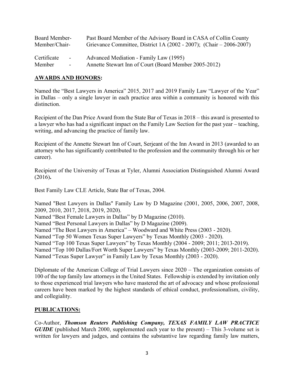| <b>Board Member-</b> |        | Past Board Member of the Advisory Board in CASA of Collin County           |
|----------------------|--------|----------------------------------------------------------------------------|
| Member/Chair-        |        | Grievance Committee, District 1A $(2002 - 2007)$ ; $(Chair - 2006 - 2007)$ |
| Certificate          | $\sim$ | Advanced Mediation - Family Law (1995)                                     |
| Member               | $\sim$ | Annette Stewart Inn of Court (Board Member 2005-2012)                      |

## **AWARDS AND HONORS:**

Named the "Best Lawyers in America" 2015, 2017 and 2019 Family Law "Lawyer of the Year" in Dallas – only a single lawyer in each practice area within a community is honored with this distinction.

Recipient of the Dan Price Award from the State Bar of Texas in 2018 – this award is presented to a lawyer who has had a significant impact on the Family Law Section for the past year – teaching, writing, and advancing the practice of family law.

Recipient of the Annette Stewart Inn of Court, Serjeant of the Inn Award in 2013 (awarded to an attorney who has significantly contributed to the profession and the community through his or her career).

Recipient of the University of Texas at Tyler, Alumni Association Distinguished Alumni Award (2016)**.**

Best Family Law CLE Article, State Bar of Texas, 2004.

Named "Best Lawyers in Dallas" Family Law by D Magazine (2001, 2005, 2006, 2007, 2008, 2009, 2010, 2017, 2018, 2019, 2020).

Named "Best Female Lawyers in Dallas" by D Magazine (2010).

Named "Best Personal Lawyers in Dallas" by D Magazine (2009).

Named "The Best Lawyers in America" – Woodward and White Press (2003 - 2020).

Named "Top 50 Women Texas Super Lawyers" by Texas Monthly (2003 - 2020).

Named "Top 100 Texas Super Lawyers" by Texas Monthly (2004 - 2009; 2011; 2013-2019).

Named "Top 100 Dallas/Fort Worth Super Lawyers" by Texas Monthly (2003-2009; 2011-2020).

Named "Texas Super Lawyer" in Family Law by Texas Monthly (2003 - 2020).

Diplomate of the American College of Trial Lawyers since 2020 – The organization consists of 100 of the top family law attorneys in the United States. Fellowship is extended by invitation only to those experienced trial lawyers who have mastered the art of advocacy and whose professional careers have been marked by the highest standards of ethical conduct, professionalism, civility, and collegiality.

# **PUBLICATIONS:**

Co-Author, *Thomson Reuters Publishing Company, TEXAS FAMILY LAW PRACTICE GUIDE* (published March 2000, supplemented each year to the present) – This 3-volume set is written for lawyers and judges, and contains the substantive law regarding family law matters,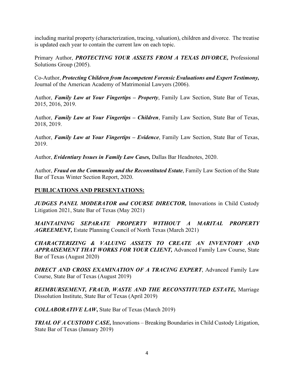including marital property (characterization, tracing, valuation), children and divorce. The treatise is updated each year to contain the current law on each topic.

Primary Author, *PROTECTING YOUR ASSETS FROM A TEXAS DIVORCE,* Professional Solutions Group (2005).

Co-Author, *Protecting Children from Incompetent Forensic Evaluations and Expert Testimony,* Journal of the American Academy of Matrimonial Lawyers (2006).

Author, *Family Law at Your Fingertips – Property*, Family Law Section, State Bar of Texas, 2015, 2016, 2019.

Author, *Family Law at Your Fingertips – Children*, Family Law Section, State Bar of Texas, 2018, 2019.

Author, *Family Law at Your Fingertips – Evidence*, Family Law Section, State Bar of Texas, 2019.

Author, *Evidentiary Issues in Family Law Cases,* Dallas Bar Headnotes, 2020.

Author, *Fraud on the Community and the Reconstituted Estate*, Family Law Section of the State Bar of Texas Winter Section Report, 2020.

# **PUBLICATIONS AND PRESENTATIONS:**

*JUDGES PANEL MODERATOR and COURSE DIRECTOR, Innovations in Child Custody* Litigation 2021, State Bar of Texas (May 2021)

*MAINTAINING SEPARATE PROPERTY WITHOUT A MARITAL PROPERTY AGREEMENT,* Estate Planning Council of North Texas (March 2021)

*CHARACTERIZING & VALUING ASSETS TO CREATE AN INVENTORY AND APPRAISEMENT THAT WORKS FOR YOUR CLIENT,* Advanced Family Law Course, State Bar of Texas (August 2020)

*DIRECT AND CROSS EXAMINATION OF A TRACING EXPERT*, Advanced Family Law Course, State Bar of Texas (August 2019)

*REIMBURSEMENT, FRAUD, WASTE AND THE RECONSTITUTED ESTATE,* Marriage Dissolution Institute, State Bar of Texas (April 2019)

*COLLABORATIVE LAW***,** State Bar of Texas (March 2019)

*TRIAL OF A CUSTODY CASE,* Innovations – Breaking Boundaries in Child Custody Litigation, State Bar of Texas (January 2019)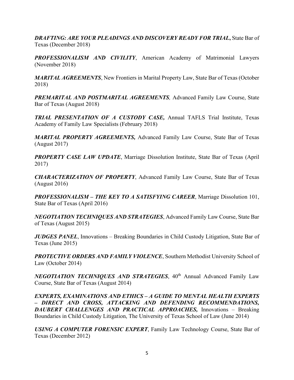*DRAFTING: ARE YOUR PLEADINGS AND DISCOVERY READY FOR TRIAL***,** State Bar of Texas (December 2018)

*PROFESSIONALISM AND CIVILITY*, American Academy of Matrimonial Lawyers (November 2018)

*MARITAL AGREEMENTS*, New Frontiers in Marital Property Law, State Bar of Texas (October 2018)

*PREMARITAL AND POSTMARITAL AGREEMENTS,* Advanced Family Law Course, State Bar of Texas (August 2018)

*TRIAL PRESENTATION OF A CUSTODY CASE,* Annual TAFLS Trial Institute, Texas Academy of Family Law Specialists (February 2018)

*MARITAL PROPERTY AGREEMENTS,* Advanced Family Law Course, State Bar of Texas (August 2017)

*PROPERTY CASE LAW UPDATE*, Marriage Dissolution Institute, State Bar of Texas (April 2017)

*CHARACTERIZATION OF PROPERTY*, Advanced Family Law Course, State Bar of Texas (August 2016)

*PROFESSIONALISM – THE KEY TO A SATISFYING CAREER*, Marriage Dissolution 101, State Bar of Texas (April 2016)

*NEGOTIATION TECHNIQUES AND STRATEGIES*, Advanced Family Law Course, State Bar of Texas (August 2015)

*JUDGES PANEL*, Innovations – Breaking Boundaries in Child Custody Litigation, State Bar of Texas (June 2015)

*PROTECTIVE ORDERS AND FAMILY VIOLENCE*, Southern Methodist University School of Law (October 2014)

*NEGOTIATION TECHNIQUES AND STRATEGIES*, 40<sup>th</sup> Annual Advanced Family Law Course, State Bar of Texas (August 2014)

*EXPERTS, EXAMINATIONS AND ETHICS – A GUIDE TO MENTAL HEALTH EXPERTS – DIRECT AND CROSS, ATTACKING AND DEFENDING RECOMMENDATIONS, DAUBERT CHALLENGES AND PRACTICAL APPROACHES,* Innovations – Breaking Boundaries in Child Custody Litigation, The University of Texas School of Law (June 2014)

*USING A COMPUTER FORENSIC EXPERT*, Family Law Technology Course, State Bar of Texas (December 2012)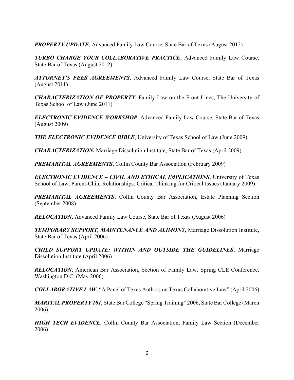**PROPERTY UPDATE, Advanced Family Law Course, State Bar of Texas (August 2012)** 

*TURBO CHARGE YOUR COLLABORATIVE PRACTICE*, Advanced Family Law Course, State Bar of Texas (August 2012)

*ATTORNEY'S FEES AGREEMENTS*, Advanced Family Law Course, State Bar of Texas (August 2011)

*CHARACTERIZATION OF PROPERTY*, Family Law on the Front Lines, The University of Texas School of Law (June 2011)

*ELECTRONIC EVIDENCE WORKSHOP*, Advanced Family Law Course, State Bar of Texas (August 2009)

*THE ELECTRONIC EVIDENCE BIBLE*, University of Texas School of Law (June 2009)

*CHARACTERIZATION***,** Marriage Dissolution Institute, State Bar of Texas (April 2009)

*PREMARITAL AGREEMENTS*, Collin County Bar Association (February 2009)

*ELECTRONIC EVIDENCE – CIVIL AND ETHICAL IMPLICATIONS*, University of Texas School of Law, Parent-Child Relationships; Critical Thinking for Critical Issues (January 2009)

*PREMARITAL AGREEMENTS*, Collin County Bar Association, Estate Planning Section (September 2008)

*RELOCATION*, Advanced Family Law Course, State Bar of Texas (August 2006)

*TEMPORARY SUPPORT, MAINTENANCE AND ALIMONY*, Marriage Dissolution Institute, State Bar of Texas (April 2006)

*CHILD SUPPORT UPDATE: WITHIN AND OUTSIDE THE GUIDELINES*, Marriage Dissolution Institute (April 2006)

*RELOCATION*, American Bar Association, Section of Family Law, Spring CLE Conference, Washington D.C. (May 2006)

*COLLABORATIVE LAW*, "A Panel of Texas Authors on Texas Collaborative Law" (April 2006)

*MARITAL PROPERTY 101*, State Bar College "Spring Training" 2006, State Bar College (March 2006)

*HIGH TECH EVIDENCE,* Collin County Bar Association, Family Law Section (December 2006)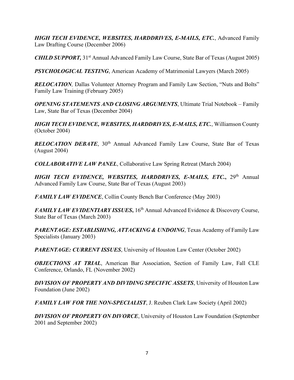*HIGH TECH EVIDENCE, WEBSITES, HARDDRIVES, E-MAILS, ETC.*, Advanced Family Law Drafting Course (December 2006)

*CHILD SUPPORT*, 31<sup>st</sup> Annual Advanced Family Law Course, State Bar of Texas (August 2005)

*PSYCHOLOGICAL TESTING*, American Academy of Matrimonial Lawyers (March 2005)

*RELOCATION*, Dallas Volunteer Attorney Program and Family Law Section, "Nuts and Bolts" Family Law Training (February 2005)

*OPENING STATEMENTS AND CLOSING ARGUMENTS*, Ultimate Trial Notebook – Family Law, State Bar of Texas (December 2004)

*HIGH TECH EVIDENCE, WEBSITES, HARDDRIVES, E-MAILS, ETC.*, Williamson County (October 2004)

*RELOCATION DEBATE*, 30<sup>th</sup> Annual Advanced Family Law Course, State Bar of Texas (August 2004)

*COLLABORATIVE LAW PANEL*, Collaborative Law Spring Retreat (March 2004)

*HIGH TECH EVIDENCE, WEBSITES, HARDDRIVES, E-MAILS, ETC.*, 29<sup>th</sup> Annual Advanced Family Law Course, State Bar of Texas (August 2003)

*FAMILY LAW EVIDENCE*, Collin County Bench Bar Conference (May 2003)

*FAMILY LAW EVIDENTIARY ISSUES*, 16<sup>th</sup> Annual Advanced Evidence & Discovery Course, State Bar of Texas (March 2003)

PARENTAGE: ESTABLISHING, ATTACKING & UNDOING, Texas Academy of Family Law Specialists (January 2003)

*PARENTAGE: CURRENT ISSUES*, University of Houston Law Center (October 2002)

*OBJECTIONS AT TRIAL*, American Bar Association, Section of Family Law, Fall CLE Conference, Orlando, FL (November 2002)

*DIVISION OF PROPERTY AND DIVIDING SPECIFIC ASSETS*, University of Houston Law Foundation (June 2002)

*FAMILY LAW FOR THE NON-SPECIALIST*, J. Reuben Clark Law Society (April 2002)

*DIVISION OF PROPERTY ON DIVORCE*, University of Houston Law Foundation (September 2001 and September 2002)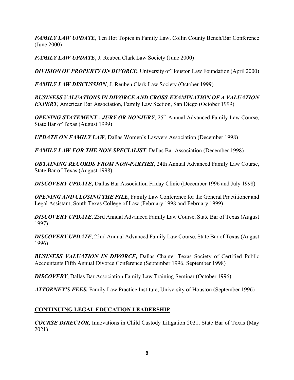*FAMILY LAW UPDATE*, Ten Hot Topics in Family Law, Collin County Bench/Bar Conference (June 2000)

*FAMILY LAW UPDATE*, J. Reuben Clark Law Society (June 2000)

*DIVISION OF PROPERTY ON DIVORCE*, University of Houston Law Foundation (April 2000)

*FAMILY LAW DISCUSSION*, J. Reuben Clark Law Society (October 1999)

*BUSINESS VALUATIONS IN DIVORCE AND CROSS-EXAMINATION OF A VALUATION EXPERT*, American Bar Association, Family Law Section, San Diego (October 1999)

*OPENING STATEMENT - JURY OR NONJURY*, 25<sup>th</sup> Annual Advanced Family Law Course, State Bar of Texas (August 1999)

*UPDATE ON FAMILY LAW*, Dallas Women's Lawyers Association (December 1998)

*FAMILY LAW FOR THE NON-SPECIALIST*, Dallas Bar Association (December 1998)

*OBTAINING RECORDS FROM NON-PARTIES*, 24th Annual Advanced Family Law Course, State Bar of Texas (August 1998)

*DISCOVERY UPDATE,* Dallas Bar Association Friday Clinic (December 1996 and July 1998)

*OPENING AND CLOSING THE FILE*, Family Law Conference for the General Practitioner and Legal Assistant, South Texas College of Law (February 1998 and February 1999)

*DISCOVERY UPDATE*, 23rd Annual Advanced Family Law Course, State Bar of Texas (August 1997)

*DISCOVERY UPDATE*, 22nd Annual Advanced Family Law Course, State Bar of Texas (August 1996)

*BUSINESS VALUATION IN DIVORCE,* Dallas Chapter Texas Society of Certified Public Accountants Fifth Annual Divorce Conference (September 1996, September 1998)

*DISCOVERY*, Dallas Bar Association Family Law Training Seminar (October 1996)

*ATTORNEY'S FEES,* Family Law Practice Institute, University of Houston (September 1996)

# **CONTINUING LEGAL EDUCATION LEADERSHIP**

*COURSE DIRECTOR,* Innovations in Child Custody Litigation 2021, State Bar of Texas (May 2021)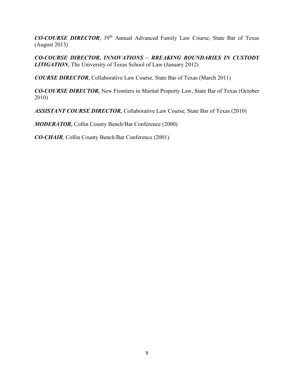*CO-COURSE DIRECTOR*, 39th Annual Advanced Family Law Course, State Bar of Texas (August 2013)

*CO-COURSE DIRECTOR, INNOVATIONS – BREAKING BOUNDARIES IN CUSTODY LITIGATION*, The University of Texas School of Law (January 2012)

*COURSE DIRECTOR*, Collaborative Law Course, State Bar of Texas (March 2011)

*CO-COURSE DIRECTOR,* New Frontiers in Marital Property Law, State Bar of Texas (October 2010)

*ASSISTANT COURSE DIRECTOR,* Collaborative Law Course, State Bar of Texas (2010)

*MODERATOR***,** Collin County Bench/Bar Conference (2000)

*CO-CHAIR,* Collin County Bench/Bar Conference (2001)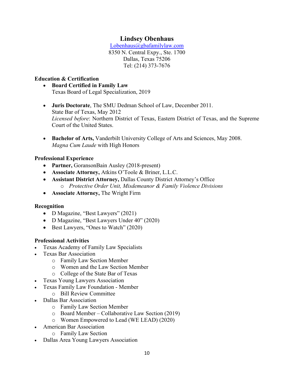# **Lindsey Obenhaus**

[Lobenhaus@gbafamilylaw.com](mailto:Lobenhaus@gbafamilylaw.com) 8350 N. Central Expy., Ste. 1700 Dallas, Texas 75206 Tel: (214) 373-7676

# **Education & Certification**

- **Board Certified in Family Law** Texas Board of Legal Specialization, 2019
- **Juris Doctorate**, The SMU Dedman School of Law, December 2011. State Bar of Texas, May 2012 *Licensed before*: Northern District of Texas, Eastern District of Texas, and the Supreme Court of the United States.
- **Bachelor of Arts,** Vanderbilt University College of Arts and Sciences, May 2008. *Magna Cum Laude* with High Honors

# **Professional Experience**

- **Partner,** GoransonBain Ausley (2018-present)
- **Associate Attorney,** Atkins O'Toole & Briner, L.L.C.
- **Assistant District Attorney,** Dallas County District Attorney's Office o *Protective Order Unit, Misdemeanor & Family Violence Divisions*
- **Associate Attorney,** The Wright Firm

# **Recognition**

- D Magazine, "Best Lawyers" (2021)
- D Magazine, "Best Lawyers Under 40" (2020)
- Best Lawyers, "Ones to Watch" (2020)

# **Professional Activities**

- Texas Academy of Family Law Specialists
- Texas Bar Association
	- o Family Law Section Member
	- o Women and the Law Section Member
	- o College of the State Bar of Texas
- Texas Young Lawyers Association
- Texas Family Law Foundation Member
	- o Bill Review Committee
- Dallas Bar Association
	- o Family Law Section Member
	- o Board Member Collaborative Law Section (2019)
	- o Women Empowered to Lead (WE LEAD) (2020)
- American Bar Association
	- o Family Law Section
- Dallas Area Young Lawyers Association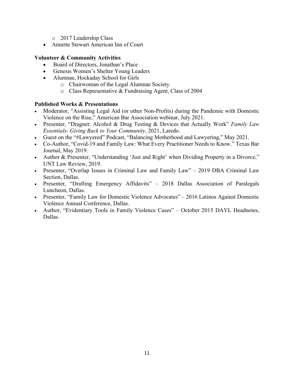- o 2017 Leadership Class
- Annette Stewart American Inn of Court

# **Volunteer & Community Activities**

- Board of Directors, Jonathan's Place
- Genesis Women's Shelter Young Leaders
- Alumnae, Hockaday School for Girls
	- o Chairwoman of the Legal Alumnae Society
	- o Class Representative & Fundraising Agent, Class of 2004

# **Published Works & Presentations**

- Moderator, "Assisting Legal Aid (or other Non-Profits) during the Pandemic with Domestic Violence on the Rise," American Bar Association webinar, July 2021.
- Presenter, "Dragnet: Alcohol & Drug Testing & Devices that Actually Work" *Family Law Essentials- Giving Back to Your Community,* 2021, Laredo.
- Guest on the "#Lawyered" Podcast, "Balancing Motherhood and Lawyering," May 2021.
- Co-Author, "Covid-19 and Family Law: What Every Practitioner Needs to Know." Texas Bar Journal, May 2019.
- Author & Presenter, "Understanding 'Just and Right' when Dividing Property in a Divorce," UNT Law Review, 2019.
- Presenter, "Overlap Issues in Criminal Law and Family Law" 2019 DBA Criminal Law Section, Dallas.
- Presenter, "Drafting Emergency Affidavits" 2018 Dallas Association of Paralegals Luncheon, Dallas.
- Presenter, "Family Law for Domestic Violence Advocates" 2016 Latinos Against Domestic Violence Annual Conference, Dallas.
- Author, "Evidentiary Tools in Family Violence Cases" October 2015 DAYL Headnotes, Dallas.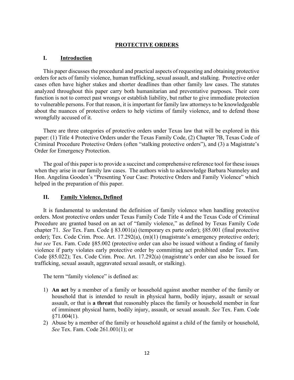## **PROTECTIVE ORDERS**

# **I. Introduction**

This paper discusses the procedural and practical aspects of requesting and obtaining protective orders for acts of family violence, human trafficking, sexual assault, and stalking. Protective order cases often have higher stakes and shorter deadlines than other family law cases. The statutes analyzed throughout this paper carry both humanitarian and preventative purposes. Their core function is not to correct past wrongs or establish liability, but rather to give immediate protection to vulnerable persons. For that reason, it is important for family law attorneys to be knowledgeable about the nuances of protective orders to help victims of family violence, and to defend those wrongfully accused of it.

There are three categories of protective orders under Texas law that will be explored in this paper: (1) Title 4 Protective Orders under the Texas Family Code, (2) Chapter 7B, Texas Code of Criminal Procedure Protective Orders (often "stalking protective orders"), and (3) a Magistrate's Order for Emergency Protection.

The goal of this paper is to provide a succinct and comprehensive reference tool for these issues when they arise in our family law cases. The authors wish to acknowledge Barbara Nunneley and Hon. Angelina Gooden's "Presenting Your Case: Protective Orders and Family Violence" which helped in the preparation of this paper.

#### **II. Family Violence, Defined**

It is fundamental to understand the definition of family violence when handling protective orders. Most protective orders under Texas Family Code Title 4 and the Texas Code of Criminal Procedure are granted based on an act of "family violence," as defined by Texas Family Code chapter 71. *See* Tex. Fam. Code § 83.001(a) (temporary ex parte order); §85.001 (final protective order); Tex. Code Crim. Proc. Art. 17.292(a), (m)(1) (magistrate's emergency protective order); *but see* Tex. Fam. Code §85.002 (protective order can also be issued without a finding of family violence if party violates early protective order by committing act prohibited under Tex. Fam. Code §85.022); Tex. Code Crim. Proc. Art. 17.292(a) (magistrate's order can also be issued for trafficking, sexual assault, aggravated sexual assault, or stalking).

The term "family violence" is defined as:

- 1) **An act** by a member of a family or household against another member of the family or household that is intended to result in physical harm, bodily injury, assault or sexual assault, or that is **a threat** that reasonably places the family or household member in fear of imminent physical harm, bodily injury, assault, or sexual assault. *See* Tex. Fam. Code §71.004(1).
- 2) Abuse by a member of the family or household against a child of the family or household, *See* Tex. Fam. Code 261.001(1); or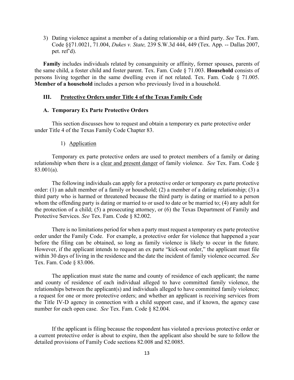3) Dating violence against a member of a dating relationship or a third party. *See* Tex. Fam. Code §§71.0021, 71.004, *Dukes v. State,* 239 S.W.3d 444, 449 (Tex. App. -- Dallas 2007, pet. ref'd).

**Family** includes individuals related by consanguinity or affinity, former spouses, parents of the same child, a foster child and foster parent. Tex. Fam. Code § 71.003. **Household** consists of persons living together in the same dwelling even if not related. Tex. Fam. Code § 71.005. **Member of a household** includes a person who previously lived in a household.

#### **III. Protective Orders under Title 4 of the Texas Family Code**

#### **A. Temporary Ex Parte Protective Orders**

This section discusses how to request and obtain a temporary ex parte protective order under Title 4 of the Texas Family Code Chapter 83.

1) Application

Temporary ex parte protective orders are used to protect members of a family or dating relationship when there is a clear and present danger of family violence. *See* Tex. Fam. Code § 83.001(a).

The following individuals can apply for a protective order or temporary ex parte protective order: (1) an adult member of a family or household; (2) a member of a dating relationship; (3) a third party who is harmed or threatened because the third party is dating or married to a person whom the offending party is dating or married to or used to date or be married to; (4) any adult for the protection of a child; (5) a prosecuting attorney, or (6) the Texas Department of Family and Protective Services. *See* Tex. Fam. Code § 82.002.

There is no limitations period for when a party must request a temporary ex parte protective order under the Family Code. For example, a protective order for violence that happened a year before the filing can be obtained, so long as family violence is likely to occur in the future. However, if the applicant intends to request an ex parte "kick-out order," the applicant must file within 30 days of living in the residence and the date the incident of family violence occurred. *See*  Tex. Fam. Code § 83.006.

The application must state the name and county of residence of each applicant; the name and county of residence of each individual alleged to have committed family violence, the relationships between the applicant(s) and individuals alleged to have committed family violence; a request for one or more protective orders; and whether an applicant is receiving services from the Title IV-D agency in connection with a child support case, and if known, the agency case number for each open case. *See* Tex. Fam. Code § 82.004.

If the applicant is filing because the respondent has violated a previous protective order or a current protective order is about to expire, then the applicant also should be sure to follow the detailed provisions of Family Code sections 82.008 and 82.0085.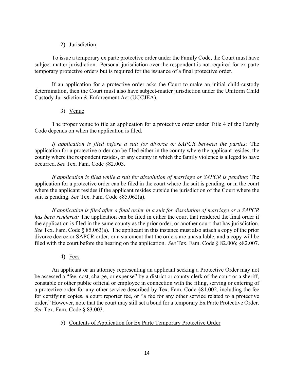# 2) Jurisdiction

To issue a temporary ex parte protective order under the Family Code, the Court must have subject-matter jurisdiction. Personal jurisdiction over the respondent is not required for ex parte temporary protective orders but is required for the issuance of a final protective order.

If an application for a protective order asks the Court to make an initial child-custody determination, then the Court must also have subject-matter jurisdiction under the Uniform Child Custody Jurisdiction & Enforcement Act (UCCJEA).

# 3) Venue

The proper venue to file an application for a protective order under Title 4 of the Family Code depends on when the application is filed.

*If application is filed before a suit for divorce or SAPCR between the parties:* The application for a protective order can be filed either in the county where the applicant resides, the county where the respondent resides, or any county in which the family violence is alleged to have occurred. *See* Tex. Fam. Code §82.003.

*If application is filed while a suit for dissolution of marriage or SAPCR is pending*: The application for a protective order can be filed in the court where the suit is pending, or in the court where the applicant resides if the applicant resides outside the jurisdiction of the Court where the suit is pending. *See* Tex. Fam. Code §85.062(a).

*If application is filed after a final order in a suit for dissolution of marriage or a SAPCR has been rendered:* The application can be filed in either the court that rendered the final order if the application is filed in the same county as the prior order, or another court that has jurisdiction. *See* Tex. Fam. Code § 85.063(a). The applicant in this instance must also attach a copy of the prior divorce decree or SAPCR order, or a statement that the orders are unavailable, and a copy will be filed with the court before the hearing on the application. *See* Tex. Fam. Code § 82.006; §82.007.

4) Fees

An applicant or an attorney representing an applicant seeking a Protective Order may not be assessed a "fee, cost, charge, or expense" by a district or county clerk of the court or a sheriff, constable or other public official or employee in connection with the filing, serving or entering of a protective order for any other service described by Tex. Fam. Code §81.002, including the fee for certifying copies, a court reporter fee, or "a fee for any other service related to a protective order." However, note that the court may still set a bond for a temporary Ex Parte Protective Order. *See* Tex. Fam. Code § 83.003.

# 5) Contents of Application for Ex Parte Temporary Protective Order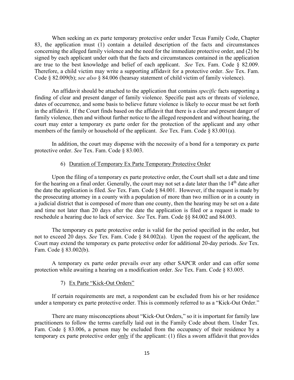When seeking an ex parte temporary protective order under Texas Family Code, Chapter 83, the application must (1) contain a detailed description of the facts and circumstances concerning the alleged family violence and the need for the immediate protective order, and (2) be signed by each applicant under oath that the facts and circumstances contained in the application are true to the best knowledge and belief of each applicant. *See* Tex. Fam. Code § 82.009. Therefore, a child victim may write a supporting affidavit for a protective order. *See* Tex. Fam. Code § 82.009(b); *see also* § 84.006 (hearsay statement of child victim of family violence).

An affidavit should be attached to the application that contains *specific* facts supporting a finding of clear and present danger of family violence. Specific past acts or threats of violence, dates of occurrence, and some basis to believe future violence is likely to occur must be set forth in the affidavit. If the Court finds based on the affidavit that there is a clear and present danger of family violence, then and without further notice to the alleged respondent and without hearing, the court may enter a temporary ex parte order for the protection of the applicant and any other members of the family or household of the applicant. *See* Tex. Fam. Code § 83.001(a).

In addition, the court may dispense with the necessity of a bond for a temporary ex parte protective order. *See* Tex. Fam. Code § 83.003.

#### 6) Duration of Temporary Ex Parte Temporary Protective Order

Upon the filing of a temporary ex parte protective order, the Court shall set a date and time for the hearing on a final order. Generally, the court may not set a date later than the  $14<sup>th</sup>$  date after the date the application is filed. *See* Tex. Fam. Code § 84.001. However, if the request is made by the prosecuting attorney in a county with a population of more than two million or in a county in a judicial district that is composed of more than one county, then the hearing may be set on a date and time not later than 20 days after the date the application is filed or a request is made to reschedule a hearing due to lack of service. *See* Tex. Fam. Code §§ 84.002 and 84.003.

The temporary ex parte protective order is valid for the period specified in the order, but not to exceed 20 days. *See* Tex. Fam. Code § 84.002(a). Upon the request of the applicant, the Court may extend the temporary ex parte protective order for additional 20-day periods. *See* Tex. Fam. Code § 83.002(b).

A temporary ex parte order prevails over any other SAPCR order and can offer some protection while awaiting a hearing on a modification order. *See* Tex. Fam. Code § 83.005.

#### 7) Ex Parte "Kick-Out Orders"

If certain requirements are met, a respondent can be excluded from his or her residence under a temporary ex parte protective order. This is commonly referred to as a "Kick-Out Order."

There are many misconceptions about "Kick-Out Orders," so it is important for family law practitioners to follow the terms carefully laid out in the Family Code about them. Under Tex. Fam. Code § 83.006, a person may be excluded from the occupancy of their residence by a temporary ex parte protective order only if the applicant:  $(1)$  files a sworn affidavit that provides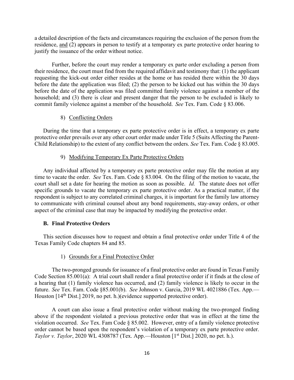a detailed description of the facts and circumstances requiring the exclusion of the person from the residence, and (2) appears in person to testify at a temporary ex parte protective order hearing to justify the issuance of the order without notice.

Further, before the court may render a temporary ex parte order excluding a person from their residence, the court must find from the required affidavit and testimony that: (1) the applicant requesting the kick-out order either resides at the home or has resided there within the 30 days before the date the application was filed; (2) the person to be kicked out has within the 30 days before the date of the application was filed committed family violence against a member of the household; and (3) there is clear and present danger that the person to be excluded is likely to commit family violence against a member of the household. *See* Tex. Fam. Code § 83.006.

## 8) Conflicting Orders

During the time that a temporary ex parte protective order is in effect, a temporary ex parte protective order prevails over any other court order made under Title 5 (Suits Affecting the Parent-Child Relationship) to the extent of any conflict between the orders. *See* Tex. Fam. Code § 83.005.

## 9) Modifying Temporary Ex Parte Protective Orders

Any individual affected by a temporary ex parte protective order may file the motion at any time to vacate the order. *See* Tex. Fam. Code § 83.004. On the filing of the motion to vacate, the court shall set a date for hearing the motion as soon as possible. *Id.* The statute does not offer specific grounds to vacate the temporary ex parte protective order. As a practical matter, if the respondent is subject to any correlated criminal charges, it is important for the family law attorney to communicate with criminal counsel about any bond requirements, stay-away orders, or other aspect of the criminal case that may be impacted by modifying the protective order.

# **B. Final Protective Orders**

This section discusses how to request and obtain a final protective order under Title 4 of the Texas Family Code chapters 84 and 85.

# 1) Grounds for a Final Protective Order

The two-pronged grounds for issuance of a final protective order are found in Texas Family Code Section 85.001(a): A trial court shall render a final protective order if it finds at the close of a hearing that (1) family violence has occurred, and (2) family violence is likely to occur in the future. *See* Tex. Fam. Code §85.001(b). *See* Johnson v. Garcia, 2019 WL 4021886 (Tex. App.— Houston [14<sup>th</sup> Dist.] 2019, no pet. h.)(evidence supported protective order).

A court can also issue a final protective order without making the two-pronged finding above if the respondent violated a previous protective order that was in effect at the time the violation occurred. *See* Tex. Fam Code § 85.002. However, entry of a family violence protective order cannot be based upon the respondent's violation of a temporary ex parte protective order. *Taylor v. Taylor*, 2020 WL 4308787 (Tex. App.—Houston [1<sup>st</sup> Dist.] 2020, no pet. h.).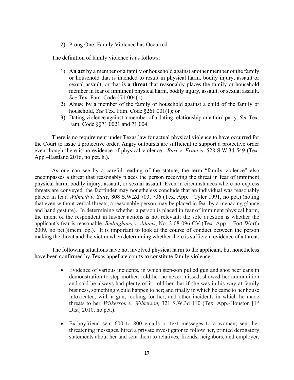## 2) Prong One: Family Violence has Occurred

The definition of family violence is as follows:

- 1) **An act** by a member of a family or household against another member of the family or household that is intended to result in physical harm, bodily injury, assault or sexual assault, or that is **a threat** that reasonably places the family or household member in fear of imminent physical harm, bodily injury, assault, or sexual assault. *See* Tex. Fam. Code §71.004(1).
- 2) Abuse by a member of the family or household against a child of the family or household, *See* Tex. Fam. Code §261.001(1); or
- 3) Dating violence against a member of a dating relationship or a third party. *See* Tex. Fam. Code §§71.0021 and 71.004.

There is no requirement under Texas law for actual physical violence to have occurred for the Court to issue a protective order. Angry outbursts are sufficient to support a protective order even though there is no evidence of physical violence. *Burt v. Francis*, 528 S.W.3d 549 (Tex. App.–Eastland 2016, no pet. h.).

As one can see by a careful reading of the statute, the term "family violence" also encompasses a threat that reasonably places the person receiving the threat in fear of imminent physical harm, bodily injury, assault, or sexual assault. Even in circumstances where no express threats are conveyed, the factfinder may nonetheless conclude that an individual was reasonably placed in fear. *Wilmeth v. State*[, 808 S.W.2d 703, 706 \(Tex.](https://1.next.westlaw.com/Link/Document/FullText?findType=Y&serNum=1991086784&pubNum=0000713&originatingDoc=I3accc21070c311e6b8b9e1ce282dafae&refType=RP&fi=co_pp_sp_713_706&originationContext=document&transitionType=DocumentItem&contextData=(sc.RelatedInfo)#co_pp_sp_713_706) App.—Tyler 1991, no pet.) (noting that even without verbal threats, a reasonable person may be placed in fear by a menacing glance and hand gesture). In determining whether a person is placed in fear of imminent physical harm, the intent of the respondent in his/her actions is not relevant; the sole question is whether the applicant's fear is reasonable. *Bedinghaus v. Adams*, No. 2-08-096-CV (Tex. App.—Fort Worth 2009, no pet.)(mem. op.). It is important to look at the course of conduct between the person making the threat and the victim when determining whether there is sufficient evidence of a threat.

The following situations have not involved physical harm to the applicant, but nonetheless have been confirmed by Texas appellate courts to constitute family violence:

- Evidence of various incidents, in which step-son pulled gun and shot beer cans in demonstration to step-mother, told her he never missed, showed her ammunition and said he always had plenty of it; told her that if she was in his way at family business, something would happen to her; and finally in which he came to her house intoxicated, with a gun, looking for her, and other incidents in which he made threats to her. *Wilkerson v. Wilkerson,* 321 S.W.3d 110 (Tex. App.-Houston [1st Dist] 2010, no pet.).
- Ex-boyfriend sent 600 to 800 emails or text messages to a woman, sent her threatening messages, hired a private investigator to follow her, printed derogatory statements about her and sent them to relatives, friends, neighbors, and employer,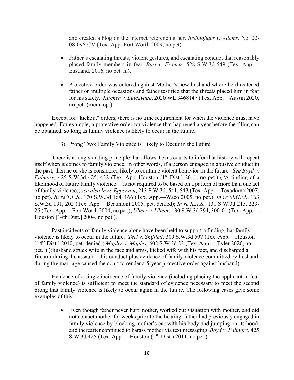and created a blog on the internet referencing her. *Bedinghaus v. Adams,* No. 02- 08-096-CV (Tex. App.-Fort Worth 2009, no pet).

- Father's escalating threats, violent gestures, and escalating conduct that reasonably placed family members in fear. *Burt v. Francis,* 528 S.W.3d 549 (Tex. App.— Eastland, 2016, no pet. h.).
- Protective order was entered against Mother's new husband where he threatened father on multiple occasions and father testified that the threats placed him in fear for his safety. *Kitchen v. Lutcavage*, 2020 WL 3468147 (Tex. App.—Austin 2020, no pet.)(mem. op.)

Except for "kickout" orders, there is no time requirement for when the violence must have happened. For example, a protective order for violence that happened a year before the filing can be obtained, so long as family violence is likely to occur in the future.

#### 3) Prong Two: Family Violence is Likely to Occur in the Future

There is a long-standing principle that allows Texas courts to infer that history will repeat itself when it comes to family violence. In other words, if a person engaged in abusive conduct in the past, then he or she is considered likely to continue violent behavior in the future. *See Boyd v. Palmore,* 425 S.W.3d 425, 432 (Tex. App.-Houston [1<sup>st</sup> Dist.] 2011, no pet.) ("A finding of a likelihood of future family violence… is not required to be based on a pattern of more than one act of family violence); *see also In re Epperson*, 213 S.W.3d, 541, 543 (Tex. App.—Texarkana 2007, no pet). *In re T.L.S*., 170 S.W.3d 164, 166 (Tex. App.—Waco 2005, no pet.); *In re M.G.M*., 163 S.W.3d 191, 202 (Tex. App.—Beaumont 2005, pet. denied); *In re K.A.S.,* 131 S.W.3d 215, 223- 25 (Tex. App.—Fort Worth 2004, no pet.); *Ulmer v. Ulmer*, 130 S.W.3d 294, 300-01 (Tex. App.— Houston [14th Dist.] 2004, no pet.).

Past incidents of family violence alone have been held to support a finding that family violence is likely to occur in the future. *Teel v. Shifflett*, 309 S.W.3d 597 (Tex. App.—Houston [14th Dist.] 2010, pet. denied); *Maples v. Maples,* 602 S.W.3d 23 (Tex. App. -- Tyler 2020, no pet. h.)(husband struck wife in the face and arms, kicked wife with his feet, and discharged a firearm during the assault – this conduct plus evidence of family violence committed by husband during the marriage caused the court to render a 5-year protective order against husband).

Evidence of a single incidence of family violence (including placing the applicant in fear of family violence) is sufficient to meet the standard of evidence necessary to meet the second prong that family violence is likely to occur again in the future. The following cases give some examples of this.

> • Even though father never hurt mother, worked out visitation with mother, and did not contact mother for weeks prior to the hearing, father had previously engaged in family violence by blocking mother's car with his body and jumping on its hood, and thereafter continued to harass mother via text messaging. *Boyd v. Palmore,* 425 S.W.3d 425 (Tex. App. -- Houston  $(1<sup>st</sup>.)$  Dist.) 2011, no pet.).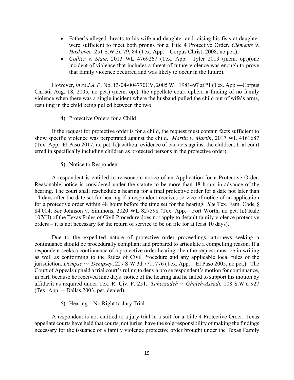- Father's alleged threats to his wife and daughter and raising his fists at daughter were sufficient to meet both prongs for a Title 4 Protective Order. *Clements v. Haskovec,* 251 S.W.3d 79, 84 (Tex. App.—Corpus Christi 2008, no pet.).
- *Collier v. State*, 2013 WL 4769267 (Tex. App.—Tyler 2013 (mem. op.)(one incident of violence that includes a threat of future violence was enough to prove that family violence occurred and was likely to occur in the future).

However, *In re J.A.T.,* No. 13-04-004770CV, 2005 WL 1981497 at \*1 (Tex. App.—Corpus Christi, Aug. 18, 2005, no pet.) (mem. op.), the appellate court upheld a finding of no family violence when there was a single incident where the husband pulled the child out of wife's arms, resulting in the child being pulled between the two.

# 4) Protective Orders for a Child

If the request for protective order is for a child, the request must contain facts sufficient to show specific violence was perpetrated against the child. *Martin v. Martin*, 2017 WL 4161687 (Tex. App.–El Paso 2017, no pet. h.)(without evidence of bad acts against the children, trial court erred in specifically including children as protected persons in the protective order).

# 5) Notice to Respondent

A respondent is entitled to reasonable notice of an Application for a Protective Order. Reasonable notice is considered under the statute to be more than 48 hours in advance of the hearing. The court shall reschedule a hearing for a final protective order for a date not later than 14 days after the date set for hearing if a respondent receives service of notice of an application for a protective order within 48 hours before the time set for the hearing. *See* Tex. Fam. Code § 84.004; *See* Johnson v. Simmons, 2020 WL 827598 (Tex. App.—Fort Worth, no pet. h.)(Rule 107(H) of the Texas Rules of Civil Procedure does not apply to default family violence protective orders – it is not necessary for the return of service to be on file for at least 10 days).

Due to the expedited nature of protective order proceedings, attorneys seeking a continuance should be procedurally compliant and prepared to articulate a compelling reason. If a respondent seeks a continuance of a protective order hearing, then the request must be in writing as well as conforming to the Rules of Civil Procedure and any applicable local rules of the jurisdiction. *Dempsey v. Dempsey*, 227 S.W.3d 771, 776 (Tex. App.—El Paso 2005, no pet.). The Court of Appeals upheld a trial court's ruling to deny a pro se respondent's motion for continuance, in part, because he received nine days' notice of the hearing and he failed to support his motion by affidavit as required under Tex. R. Civ. P. 251. *Taherzadeh v. Ghaleh-Assadi,* 108 S.W.d 927 (Tex. App. -- Dallas 2003, pet. denied).

# 6) Hearing – No Right to Jury Trial

A respondent is not entitled to a jury trial in a suit for a Title 4 Protective Order. Texas appellate courts have held that courts, not juries, have the sole responsibility of making the findings necessary for the issuance of a family violence protective order brought under the Texas Family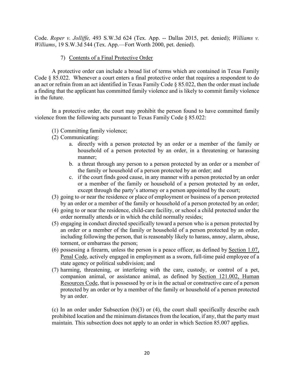Code. *Roper v. Jolliffe,* 493 S.W.3d 624 (Tex. App. -- Dallas 2015, pet. denied); *Williams v. Williams*, 19 S.W.3d 544 (Tex. App.—Fort Worth 2000, pet. denied).

# 7) Contents of a Final Protective Order

A protective order can include a broad list of terms which are contained in Texas Family Code § 85.022. Whenever a court enters a final protective order that requires a respondent to do an act or refrain from an act identified in Texas Family Code § 85.022, then the order must include a finding that the applicant has committed family violence and is likely to commit family violence in the future.

In a protective order, the court may prohibit the person found to have committed family violence from the following acts pursuant to Texas Family Code § 85.022:

- (1) Committing family violence;
- (2) Communicating:
	- a. directly with a person protected by an order or a member of the family or household of a person protected by an order, in a threatening or harassing manner;
	- b. a threat through any person to a person protected by an order or a member of the family or household of a person protected by an order; and
	- c. if the court finds good cause, in any manner with a person protected by an order or a member of the family or household of a person protected by an order, except through the party's attorney or a person appointed by the court;
- (3) going to or near the residence or place of employment or business of a person protected by an order or a member of the family or household of a person protected by an order;
- (4) going to or near the residence, child-care facility, or school a child protected under the order normally attends or in which the child normally resides;
- (5) engaging in conduct directed specifically toward a person who is a person protected by an order or a member of the family or household of a person protected by an order, including following the person, that is reasonably likely to harass, annoy, alarm, abuse, torment, or embarrass the person;
- (6) possessing a firearm, unless the person is a peace officer, as defined by [Section 1.07,](https://1.next.westlaw.com/Link/Document/FullText?findType=L&pubNum=1000182&cite=TXPES1.07&originatingDoc=N7F939D00A5CC11E5AA6DE6442ADFAF1C&refType=LQ&originationContext=document&transitionType=DocumentItem&contextData=(sc.Search))  [Penal Code,](https://1.next.westlaw.com/Link/Document/FullText?findType=L&pubNum=1000182&cite=TXPES1.07&originatingDoc=N7F939D00A5CC11E5AA6DE6442ADFAF1C&refType=LQ&originationContext=document&transitionType=DocumentItem&contextData=(sc.Search)) actively engaged in employment as a sworn, full-time paid employee of a state agency or political subdivision; and
- (7) harming, threatening, or interfering with the care, custody, or control of a pet, companion animal, or assistance animal, as defined by [Section 121.002, Human](https://1.next.westlaw.com/Link/Document/FullText?findType=L&pubNum=1000177&cite=TXHRS121.002&originatingDoc=N7F939D00A5CC11E5AA6DE6442ADFAF1C&refType=LQ&originationContext=document&transitionType=DocumentItem&contextData=(sc.Search))  [Resources Code,](https://1.next.westlaw.com/Link/Document/FullText?findType=L&pubNum=1000177&cite=TXHRS121.002&originatingDoc=N7F939D00A5CC11E5AA6DE6442ADFAF1C&refType=LQ&originationContext=document&transitionType=DocumentItem&contextData=(sc.Search)) that is possessed by or is in the actual or constructive care of a person protected by an order or by a member of the family or household of a person protected by an order.

(c) In an order under Subsection (b)(3) or (4), the court shall specifically describe each prohibited location and the minimum distances from the location, if any, that the party must maintain. This subsection does not apply to an order in which [Section 85.007](https://1.next.westlaw.com/Link/Document/FullText?findType=L&pubNum=1000175&cite=TXFAS85.007&originatingDoc=N7F939D00A5CC11E5AA6DE6442ADFAF1C&refType=LQ&originationContext=document&transitionType=DocumentItem&contextData=(sc.Search)) applies.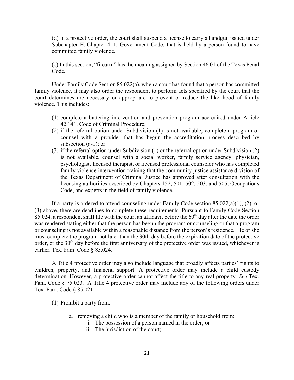(d) In a protective order, the court shall suspend a license to carry a handgun issued under Subchapter H, Chapter 411, Government Code, that is held by a person found to have committed family violence.

(e) In this section, "firearm" has the meaning assigned by [Section 46.01](https://1.next.westlaw.com/Link/Document/FullText?findType=L&pubNum=1000182&cite=TXPES46.01&originatingDoc=N7F939D00A5CC11E5AA6DE6442ADFAF1C&refType=LQ&originationContext=document&transitionType=DocumentItem&contextData=(sc.Search)) of the Texas Penal [Code.](https://1.next.westlaw.com/Link/Document/FullText?findType=L&pubNum=1000182&cite=TXPES46.01&originatingDoc=N7F939D00A5CC11E5AA6DE6442ADFAF1C&refType=LQ&originationContext=document&transitionType=DocumentItem&contextData=(sc.Search))

Under Family Code Section 85.022(a), when a court has found that a person has committed family violence, it may also order the respondent to perform acts specified by the court that the court determines are necessary or appropriate to prevent or reduce the likelihood of family violence. This includes:

- (1) complete a battering intervention and prevention program accredited under Article 42.141, Code of Criminal Procedure;
- (2) if the referral option under Subdivision (1) is not available, complete a program or counsel with a provider that has begun the accreditation process described by subsection (a-1); or
- (3) if the referral option under Subdivision (1) or the referral option under Subdivision (2) is not available, counsel with a social worker, family service agency, physician, psychologist, licensed therapist, or licensed professional counselor who has completed family violence intervention training that the community justice assistance division of the Texas Department of Criminal Justice has approved after consultation with the licensing authorities described by Chapters 152, 501, 502, 503, and 505, Occupations Code, and experts in the field of family violence.

If a party is ordered to attend counseling under Family Code section  $85.022(a)(1)$ ,  $(2)$ , or (3) above, there are deadlines to complete these requirements. Pursuant to Family Code Section  $85.024$ , a respondent shall file with the court an affidavit before the  $60<sup>th</sup>$  day after the date the order was rendered stating either that the person has begun the program or counseling or that a program or counseling is not available within a reasonable distance from the person's residence. He or she must complete the program not later than the 30th day before the expiration date of the protective order, or the 30<sup>th</sup> day before the first anniversary of the protective order was issued, whichever is earlier. Tex. Fam. Code § 85.024.

A Title 4 protective order may also include language that broadly affects parties' rights to children, property, and financial support. A protective order may include a child custody determination. However, a protective order cannot affect the title to any real property. *See* Tex. Fam. Code § 75.023. A Title 4 protective order may include any of the following orders under Tex. Fam. Code § 85.021:

(1) Prohibit a party from:

- a. removing a child who is a member of the family or household from:
	- i. The possession of a person named in the order; or
		- ii. The jurisdiction of the court;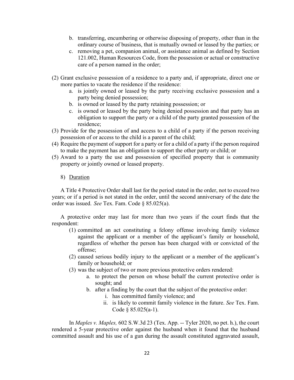- b. transferring, encumbering or otherwise disposing of property, other than in the ordinary course of business, that is mutually owned or leased by the parties; or
- c. removing a pet, companion animal, or assistance animal as defined by Section 121.002, Human Resources Code, from the possession or actual or constructive care of a person named in the order;
- (2) Grant exclusive possession of a residence to a party and, if appropriate, direct one or more parties to vacate the residence if the residence:
	- a. is jointly owned or leased by the party receiving exclusive possession and a party being denied possession;
	- b. is owned or leased by the party retaining possession; or
	- c. is owned or leased by the party being denied possession and that party has an obligation to support the party or a child of the party granted possession of the residence;
- (3) Provide for the possession of and access to a child of a party if the person receiving possession of or access to the child is a parent of the child;
- (4) Require the payment of support for a party or for a child of a party if the person required to make the payment has an obligation to support the other party or child; or
- (5) Award to a party the use and possession of specified property that is community property or jointly owned or leased property.

## 8) Duration

A Title 4 Protective Order shall last for the period stated in the order, not to exceed two years; or if a period is not stated in the order, until the second anniversary of the date the order was issued. *See* Tex. Fam. Code § 85.025(a).

A protective order may last for more than two years if the court finds that the respondent:

- (1) committed an act constituting a felony offense involving family violence against the applicant or a member of the applicant's family or household, regardless of whether the person has been charged with or convicted of the offense;
- (2) caused serious bodily injury to the applicant or a member of the applicant's family or household; or
- (3) was the subject of two or more previous protective orders rendered:
	- a. to protect the person on whose behalf the current protective order is sought; and
	- b. after a finding by the court that the subject of the protective order:
		- i. has committed family violence; and
		- ii. is likely to commit family violence in the future. *See* Tex. Fam. Code § 85.025(a-1).

In *Maples v. Maples,* 602 S.W.3d 23 (Tex. App. -- Tyler 2020, no pet. h.), the court rendered a 5-year protective order against the husband when it found that the husband committed assault and his use of a gun during the assault constituted aggravated assault,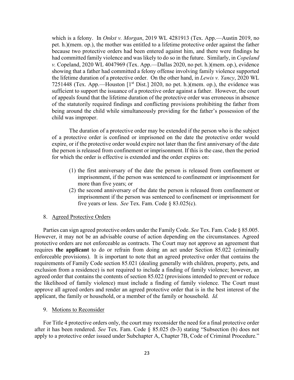which is a felony. In *Onkst v. Morgan*, 2019 WL 4281913 (Tex. App.—Austin 2019, no pet. h.)(mem. op.), the mother was entitled to a lifetime protective order against the father because two protective orders had been entered against him, and there were findings he had committed family violence and was likely to do so in the future. Similarly, in *Copeland v.* Copeland, 2020 WL 4047969 (Tex. App.—Dallas 2020, no pet. h.)(mem. op.), evidence showing that a father had committed a felony offense involving family violence supported the lifetime duration of a protective order. On the other hand, in *Lewis v. Yancy*, 2020 WL 7251448 (Tex. App.—Houston  $[1<sup>st</sup> Dist.]$  2020, no pet. h.)(mem. op.), the evidence was sufficient to support the issuance of a protective order against a father. However, the court of appeals found that the lifetime duration of the protective order was erroneous in absence of the statutorily required findings and conflicting provisions prohibiting the father from being around the child while simultaneously providing for the father's possession of the child was improper.

The duration of a protective order may be extended if the person who is the subject of a protective order is confined or imprisoned on the date the protective order would expire, or if the protective order would expire not later than the first anniversary of the date the person is released from confinement or imprisonment. If this is the case, then the period for which the order is effective is extended and the order expires on:

- (1) the first anniversary of the date the person is released from confinement or imprisonment, if the person was sentenced to confinement or imprisonment for more than five years; or
- (2) the second anniversary of the date the person is released from confinement or imprisonment if the person was sentenced to confinement or imprisonment for five years or less. *See* Tex. Fam. Code § 83.025(c).

#### 8. Agreed Protective Orders

Parties can sign agreed protective orders under the Family Code. *See* Tex. Fam. Code § 85.005. However, it may not be an advisable course of action depending on the circumstances. Agreed protective orders are not enforceable as contracts. The Court may not approve an agreement that requires **the applicant** to do or refrain from doing an act under Section 85.022 (criminally enforceable provisions). It is important to note that an agreed protective order that contains the requirements of Family Code section 85.021 (dealing generally with children, property, pets, and exclusion from a residence) is not required to include a finding of family violence; however, an agreed order that contains the contents of section 85.022 (provisions intended to prevent or reduce the likelihood of family violence) must include a finding of family violence. The Court must approve all agreed orders and render an agreed protective order that is in the best interest of the applicant, the family or household, or a member of the family or household. *Id.*

9. Motions to Reconsider

For Title 4 protective orders only, the court may reconsider the need for a final protective order after it has been rendered. *See* Tex. Fam. Code § 85.025 (b-3) stating "Subsection (b) does not apply to a protective order issued under Subchapter A, Chapter 7B, Code of Criminal Procedure."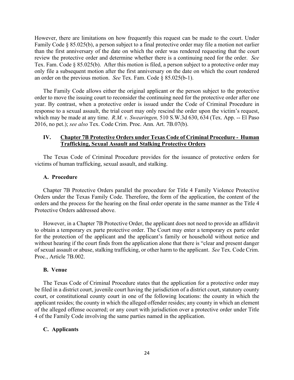However, there are limitations on how frequently this request can be made to the court. Under Family Code § 85.025(b), a person subject to a final protective order may file a motion not earlier than the first anniversary of the date on which the order was rendered requesting that the court review the protective order and determine whether there is a continuing need for the order. *See*  Tex. Fam. Code § 85.025(b). After this motion is filed, a person subject to a protective order may only file a subsequent motion after the first anniversary on the date on which the court rendered an order on the previous motion. *See* Tex. Fam. Code § 85.025(b-1).

The Family Code allows either the original applicant or the person subject to the protective order to move the issuing court to reconsider the continuing need for the protective order after one year. By contrast, when a protective order is issued under the Code of Criminal Procedure in response to a sexual assault, the trial court may only rescind the order upon the victim's request, which may be made at any time. *R.M. v. Swearingen,* 510 S.W.3d 630, 634 (Tex. App. -- El Paso 2016, no pet.); *see also* Tex. Code Crim. Proc. Ann. Art. 7B.07(b).

# **IV. Chapter 7B Protective Orders under Texas Code of Criminal Procedure - Human Trafficking, Sexual Assault and Stalking Protective Orders**

The Texas Code of Criminal Procedure provides for the issuance of protective orders for victims of human trafficking, sexual assault, and stalking.

#### **A. Procedure**

Chapter 7B Protective Orders parallel the procedure for Title 4 Family Violence Protective Orders under the Texas Family Code. Therefore, the form of the application, the content of the orders and the process for the hearing on the final order operate in the same manner as the Title 4 Protective Orders addressed above.

However, in a Chapter 7B Protective Order, the applicant does not need to provide an affidavit to obtain a temporary ex parte protective order. The Court may enter a temporary ex parte order for the protection of the applicant and the applicant's family or household without notice and without hearing if the court finds from the application alone that there is "clear and present danger of sexual assault or abuse, stalking trafficking, or other harm to the applicant. *See* Tex. Code Crim. Proc., Article 7B.002.

#### **B. Venue**

The Texas Code of Criminal Procedure states that the application for a protective order may be filed in a district court, juvenile court having the jurisdiction of a district court, statutory county court, or constitutional county court in one of the following locations: the county in which the applicant resides; the county in which the alleged offender resides; any county in which an element of the alleged offense occurred; or any court with jurisdiction over a protective order under Title 4 of the Family Code involving the same parties named in the application.

#### **C. Applicants**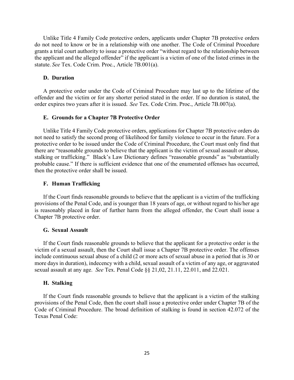Unlike Title 4 Family Code protective orders, applicants under Chapter 7B protective orders do not need to know or be in a relationship with one another. The Code of Criminal Procedure grants a trial court authority to issue a protective order "without regard to the relationship between the applicant and the alleged offender" if the applicant is a victim of one of the listed crimes in the statute. *See* Tex. Code Crim. Proc., Article 7B.001(a).

### **D. Duration**

A protective order under the Code of Criminal Procedure may last up to the lifetime of the offender and the victim or for any shorter period stated in the order. If no duration is stated, the order expires two years after it is issued. *See* Tex. Code Crim. Proc., Article 7B.007(a).

#### **E. Grounds for a Chapter 7B Protective Order**

Unlike Title 4 Family Code protective orders, applications for Chapter 7B protective orders do not need to satisfy the second prong of likelihood for family violence to occur in the future. For a protective order to be issued under the Code of Criminal Procedure, the Court must only find that there are "reasonable grounds to believe that the applicant is the victim of sexual assault or abuse, stalking or trafficking." Black's Law Dictionary defines "reasonable grounds" as "substantially probable cause." If there is sufficient evidence that one of the enumerated offenses has occurred, then the protective order shall be issued.

#### **F. Human Trafficking**

If the Court finds reasonable grounds to believe that the applicant is a victim of the trafficking provisions of the Penal Code, and is younger than 18 years of age, or without regard to his/her age is reasonably placed in fear of further harm from the alleged offender, the Court shall issue a Chapter 7B protective order.

#### **G. Sexual Assault**

If the Court finds reasonable grounds to believe that the applicant for a protective order is the victim of a sexual assault, then the Court shall issue a Chapter 7B protective order. The offenses include continuous sexual abuse of a child (2 or more acts of sexual abuse in a period that is 30 or more days in duration), indecency with a child, sexual assault of a victim of any age, or aggravated sexual assault at any age. *See* Tex. Penal Code §§ 21,02, 21.11, 22.011, and 22.021.

#### **H. Stalking**

If the Court finds reasonable grounds to believe that the applicant is a victim of the stalking provisions of the Penal Code, then the court shall issue a protective order under Chapter 7B of the Code of Criminal Procedure. The broad definition of stalking is found in section 42.072 of the Texas Penal Code: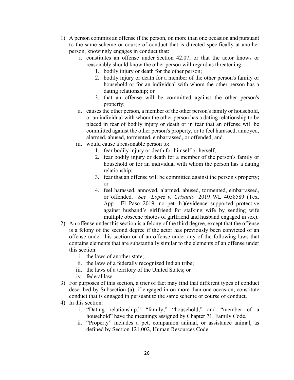- 1) A person commits an offense if the person, on more than one occasion and pursuant to the same scheme or course of conduct that is directed specifically at another person, knowingly engages in conduct that:
	- i. constitutes an offense under [Section 42.07,](https://1.next.westlaw.com/Link/Document/FullText?findType=L&pubNum=1000182&cite=TXPES42.07&originatingDoc=ND7049700DD8411E28843F593B78874C5&refType=LQ&originationContext=document&transitionType=DocumentItem&contextData=(sc.Category)) or that the actor knows or reasonably should know the other person will regard as threatening:
		- 1. bodily injury or death for the other person;
		- 2. bodily injury or death for a member of the other person's family or household or for an individual with whom the other person has a dating relationship; or
		- 3. that an offense will be committed against the other person's property;
	- ii. causes the other person, a member of the other person's family or household, or an individual with whom the other person has a dating relationship to be placed in fear of bodily injury or death or in fear that an offense will be committed against the other person's property, or to feel harassed, annoyed, alarmed, abused, tormented, embarrassed, or offended; and
	- iii. would cause a reasonable person to:
		- 1. fear bodily injury or death for himself or herself;
		- 2. fear bodily injury or death for a member of the person's family or household or for an individual with whom the person has a dating relationship;
		- 3. fear that an offense will be committed against the person's property; or
		- 4. feel harassed, annoyed, alarmed, abused, tormented, embarrassed, or offended. *See Lopez v. Crisanto,* 2019 WL 4058589 (Tex. App.—El Paso 2019, no pet. h.)(evidence supported protective against husband's girlfriend for stalking wife by sending wife multiple obscene photos of girlfriend and husband engaged in sex).
- 2) An offense under this section is a felony of the third degree, except that the offense is a felony of the second degree if the actor has previously been convicted of an offense under this section or of an offense under any of the following laws that contains elements that are substantially similar to the elements of an offense under this section:
	- i. the laws of another state;
	- ii. the laws of a federally recognized Indian tribe;
	- iii. the laws of a territory of the United States; or
	- iv. federal law.
- 3) For purposes of this section, a trier of fact may find that different types of conduct described by Subsection (a), if engaged in on more than one occasion, constitute conduct that is engaged in pursuant to the same scheme or course of conduct.
- 4) In this section:
	- i. "Dating relationship," "family," "household," and "member of a household" have the meanings assigned by Chapter 71, Family Code.
	- ii. "Property" includes a pet, companion animal, or assistance animal, as defined by [Section 121.002, Human Resources Code.](https://1.next.westlaw.com/Link/Document/FullText?findType=L&pubNum=1000177&cite=TXHRS121.002&originatingDoc=ND7049700DD8411E28843F593B78874C5&refType=LQ&originationContext=document&transitionType=DocumentItem&contextData=(sc.Category))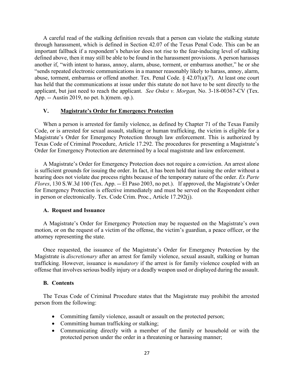A careful read of the stalking definition reveals that a person can violate the stalking statute through harassment, which is defined in Section 42.07 of the Texas Penal Code. This can be an important fallback if a respondent's behavior does not rise to the fear-inducing level of stalking defined above, then it may still be able to be found in the harassment provisions. A person harasses another if, "with intent to harass, annoy, alarm, abuse, torment, or embarrass another," he or she "sends repeated electronic communications in a manner reasonably likely to harass, annoy, alarm, abuse, torment, embarrass or offend another. Tex. Penal Code. § 42.07(a)(7). At least one court has held that the communications at issue under this statute do not have to be sent directly to the applicant, but just need to reach the applicant. *See Onkst v. Morgan,* No. 3-18-00367-CV (Tex. App. -- Austin 2019, no pet. h.)(mem. op.).

#### **V. Magistrate's Order for Emergency Protection**

When a person is arrested for family violence, as defined by Chapter 71 of the Texas Family Code, or is arrested for sexual assault, stalking or human trafficking, the victim is eligible for a Magistrate's Order for Emergency Protection through law enforcement. This is authorized by Texas Code of Criminal Procedure, Article 17.292. The procedures for presenting a Magistrate's Order for Emergency Protection are determined by a local magistrate and law enforcement.

A Magistrate's Order for Emergency Protection does not require a conviction. An arrest alone is sufficient grounds for issuing the order. In fact, it has been held that issuing the order without a hearing does not violate due process rights because of the temporary nature of the order. *Ex Parte Flores*, 130 S.W.3d 100 (Tex. App. -- El Paso 2003, no pet.). If approved, the Magistrate's Order for Emergency Protection is effective immediately and must be served on the Respondent either in person or electronically. Tex. Code Crim. Proc., Article 17.292(j).

#### **A. Request and Issuance**

A Magistrate's Order for Emergency Protection may be requested on the Magistrate's own motion, or on the request of a victim of the offense, the victim's guardian, a peace officer, or the attorney representing the state.

Once requested, the issuance of the Magistrate's Order for Emergency Protection by the Magistrate is *discretionary* after an arrest for family violence, sexual assault, stalking or human trafficking. However, issuance is *mandatory* if the arrest is for family violence coupled with an offense that involves serious bodily injury or a deadly weapon used or displayed during the assault.

#### **B. Contents**

The Texas Code of Criminal Procedure states that the Magistrate may prohibit the arrested person from the following:

- Committing family violence, assault or assault on the protected person;
- Committing human trafficking or stalking;
- Communicating directly with a member of the family or household or with the protected person under the order in a threatening or harassing manner;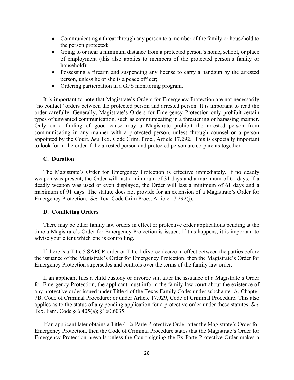- Communicating a threat through any person to a member of the family or household to the person protected;
- Going to or near a minimum distance from a protected person's home, school, or place of employment (this also applies to members of the protected person's family or household);
- Possessing a firearm and suspending any license to carry a handgun by the arrested person, unless he or she is a peace officer;
- Ordering participation in a GPS monitoring program.

It is important to note that Magistrate's Orders for Emergency Protection are not necessarily "no contact" orders between the protected person and arrested person. It is important to read the order carefully. Generally, Magistrate's Orders for Emergency Protection only prohibit certain types of unwanted communication, such as communicating in a threatening or harassing manner. Only on a finding of good cause may a Magistrate prohibit the arrested person from communicating in any manner with a protected person, unless through counsel or a person appointed by the Court. *See* Tex. Code Crim. Proc., Article 17.292. This is especially important to look for in the order if the arrested person and protected person are co-parents together.

#### **C. Duration**

The Magistrate's Order for Emergency Protection is effective immediately. If no deadly weapon was present, the Order will last a minimum of 31 days and a maximum of 61 days. If a deadly weapon was used or even displayed, the Order will last a minimum of 61 days and a maximum of 91 days. The statute does not provide for an extension of a Magistrate's Order for Emergency Protection. *See* Tex. Code Crim Proc., Article 17.292(j).

#### **D. Conflicting Orders**

There may be other family law orders in effect or protective order applications pending at the time a Magistrate's Order for Emergency Protection is issued. If this happens, it is important to advise your client which one is controlling.

If there is a Title 5 SAPCR order or Title 1 divorce decree in effect between the parties before the issuance of the Magistrate's Order for Emergency Protection, then the Magistrate's Order for Emergency Protection supersedes and controls over the terms of the family law order.

If an applicant files a child custody or divorce suit after the issuance of a Magistrate's Order for Emergency Protection, the applicant must inform the family law court about the existence of any protective order issued under Title 4 of the Texas Family Code; under subchapter A, Chapter 7B, Code of Criminal Procedure; or under Article 17.929, Code of Criminal Procedure. This also applies as to the status of any pending application for a protective order under these statutes. *See*  Tex. Fam. Code § 6.405(a); §160.6035.

If an applicant later obtains a Title 4 Ex Parte Protective Order after the Magistrate's Order for Emergency Protection, then the Code of Criminal Procedure states that the Magistrate's Order for Emergency Protection prevails unless the Court signing the Ex Parte Protective Order makes a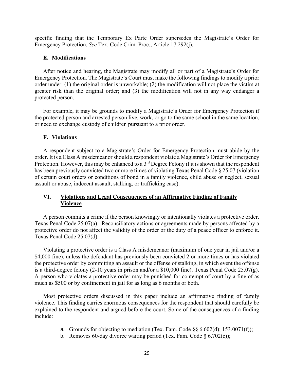specific finding that the Temporary Ex Parte Order supersedes the Magistrate's Order for Emergency Protection. *See* Tex. Code Crim. Proc., Article 17.292(j).

#### **E. Modifications**

After notice and hearing, the Magistrate may modify all or part of a Magistrate's Order for Emergency Protection. The Magistrate's Court must make the following findings to modify a prior order under: (1) the original order is unworkable; (2) the modification will not place the victim at greater risk than the original order; and (3) the modification will not in any way endanger a protected person.

For example, it may be grounds to modify a Magistrate's Order for Emergency Protection if the protected person and arrested person live, work, or go to the same school in the same location, or need to exchange custody of children pursuant to a prior order.

#### **F. Violations**

A respondent subject to a Magistrate's Order for Emergency Protection must abide by the order. It is a Class A misdemeanor should a respondent violate a Magistrate's Order for Emergency Protection. However, this may be enhanced to a 3<sup>rd</sup> Degree Felony if it is shown that the respondent has been previously convicted two or more times of violating Texas Penal Code § 25.07 (violation of certain court orders or conditions of bond in a family violence, child abuse or neglect, sexual assault or abuse, indecent assault, stalking, or trafficking case).

# **VI. Violations and Legal Consequences of an Affirmative Finding of Family Violence**

A person commits a crime if the person knowingly or intentionally violates a protective order. Texas Penal Code 25.07(a). Reconciliatory actions or agreements made by persons affected by a protective order do not affect the validity of the order or the duty of a peace officer to enforce it. Texas Penal Code 25.07(d).

Violating a protective order is a Class A misdemeanor (maximum of one year in jail and/or a \$4,000 fine), unless the defendant has previously been convicted 2 or more times or has violated the protective order by committing an assault or the offense of stalking, in which event the offense is a third-degree felony (2-10 years in prison and/or a \$10,000 fine). Texas Penal Code  $25.07(g)$ . A person who violates a protective order may be punished for contempt of court by a fine of as much as \$500 or by confinement in jail for as long as 6 months or both.

Most protective orders discussed in this paper include an affirmative finding of family violence. This finding carries enormous consequences for the respondent that should carefully be explained to the respondent and argued before the court. Some of the consequences of a finding include:

- a. Grounds for objecting to mediation (Tex. Fam. Code  $\S\S 6.602(d)$ ; 153.0071(f));
- b. Removes 60-day divorce waiting period (Tex. Fam. Code  $\S$  6.702(c));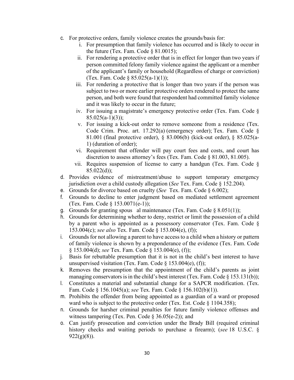- c. For protective orders, family violence creates the grounds/basis for:
	- i. For presumption that family violence has occurred and is likely to occur in the future (Tex. Fam. Code  $\S$  81.0015);
	- ii. For rendering a protective order that is in effect for longer than two years if person committed felony family violence against the applicant or a member of the applicant's family or household (Regardless of charge or conviction) (Tex. Fam. Code § 85.025(a-1)(1));
	- iii. For rendering a protective that is longer than two years if the person was subject to two or more earlier protective orders rendered to protect the same person, and both were found that respondent had committed family violence and it was likely to occur in the future;
	- iv. For issuing a magistrate's emergency protective order (Tex. Fam. Code §  $85.025(a-1)(3)$ ;
	- v. For issuing a kick-out order to remove someone from a residence [\(Tex.](https://1.next.westlaw.com/Link/Document/FullText?findType=L&pubNum=1000172&cite=TXCMART17.292&originatingDoc=I5ba6b32090d711e88d11915ac6a669aa&refType=LQ&originationContext=document&transitionType=DocumentItem&contextData=(sc.Default))  [Code Crim. Proc. art. 17.292\(a\)](https://1.next.westlaw.com/Link/Document/FullText?findType=L&pubNum=1000172&cite=TXCMART17.292&originatingDoc=I5ba6b32090d711e88d11915ac6a669aa&refType=LQ&originationContext=document&transitionType=DocumentItem&contextData=(sc.Default)) (emergency order); [Tex. Fam. Code §](https://1.next.westlaw.com/Link/Document/FullText?findType=L&pubNum=1000175&cite=TXFAS81.001&originatingDoc=I5ba6b32090d711e88d11915ac6a669aa&refType=LQ&originationContext=document&transitionType=DocumentItem&contextData=(sc.Default))  [81.001](https://1.next.westlaw.com/Link/Document/FullText?findType=L&pubNum=1000175&cite=TXFAS81.001&originatingDoc=I5ba6b32090d711e88d11915ac6a669aa&refType=LQ&originationContext=document&transitionType=DocumentItem&contextData=(sc.Default)) (final protective order), § 83.006(b) (kick-out order), [§ 85.025\(a-](https://1.next.westlaw.com/Link/Document/FullText?findType=L&pubNum=1000175&cite=TXFAS85.025&originatingDoc=I5ba6b32090d711e88d11915ac6a669aa&refType=LQ&originationContext=document&transitionType=DocumentItem&contextData=(sc.Default))[1\)](https://1.next.westlaw.com/Link/Document/FullText?findType=L&pubNum=1000175&cite=TXFAS85.025&originatingDoc=I5ba6b32090d711e88d11915ac6a669aa&refType=LQ&originationContext=document&transitionType=DocumentItem&contextData=(sc.Default)) (duration of order);
	- vi. Requirement that offender will pay court fees and costs, and court has discretion to assess attorney's fees (Tex. Fam. Code § 81.003, 81.005).
	- vii. Requires suspension of license to carry a handgun (Tex. Fam. Code §  $85.022(d)$ ;
- d. Provides evidence of mistreatment/abuse to support temporary emergency jurisdiction over a child custody allegation (*See* [Tex. Fam. Code § 152.204\)](https://1.next.westlaw.com/Link/Document/FullText?findType=L&pubNum=1000175&cite=TXFAS152.204&originatingDoc=I5ba6b32090d711e88d11915ac6a669aa&refType=LQ&originationContext=document&transitionType=DocumentItem&contextData=(sc.Default)).
- e. Grounds for divorce based on cruelty (*See* [Tex. Fam. Code § 6.002\)](https://1.next.westlaw.com/Link/Document/FullText?findType=L&pubNum=1000175&cite=TXFAS6.002&originatingDoc=I5ba6b32090d711e88d11915ac6a669aa&refType=LQ&originationContext=document&transitionType=DocumentItem&contextData=(sc.Default));
- f. Grounds to decline to enter judgment based on mediated settlement agreement [\(Tex. Fam. Code § 153.0071\(e-1\)\)](https://1.next.westlaw.com/Link/Document/FullText?findType=L&pubNum=1000175&cite=TXFAS153.0071&originatingDoc=I5ba6b32090d711e88d11915ac6a669aa&refType=LQ&originationContext=document&transitionType=DocumentItem&contextData=(sc.Default));
- g. Grounds for granting spous al maintenance [\(Tex. Fam. Code § 8.051\(1\)\)](https://1.next.westlaw.com/Link/Document/FullText?findType=L&pubNum=1000175&cite=TXFAS8.051&originatingDoc=I5ba6b32090d711e88d11915ac6a669aa&refType=LQ&originationContext=document&transitionType=DocumentItem&contextData=(sc.Default));
- h. Grounds for determining whether to deny, restrict or limit the possession of a child by a parent who is appointed as a possessory conservator [\(Tex. Fam. Code §](https://1.next.westlaw.com/Link/Document/FullText?findType=L&pubNum=1000175&cite=TXFAS153.004&originatingDoc=I5ba6b32090d711e88d11915ac6a669aa&refType=LQ&originationContext=document&transitionType=DocumentItem&contextData=(sc.Default))  [153.004\(c\);](https://1.next.westlaw.com/Link/Document/FullText?findType=L&pubNum=1000175&cite=TXFAS153.004&originatingDoc=I5ba6b32090d711e88d11915ac6a669aa&refType=LQ&originationContext=document&transitionType=DocumentItem&contextData=(sc.Default)) *see also* [Tex. Fam. Code § 153.004\(e\), \(f\)\)](https://1.next.westlaw.com/Link/Document/FullText?findType=L&pubNum=1000175&cite=TXFAS153.004&originatingDoc=I5ba6b32090d711e88d11915ac6a669aa&refType=LQ&originationContext=document&transitionType=DocumentItem&contextData=(sc.Default));
- i. Grounds for not allowing a parent to have access to a child when a history or pattern of family violence is shown by a preponderance of the evidence [\(Tex. Fam. Code](https://1.next.westlaw.com/Link/Document/FullText?findType=L&pubNum=1000175&cite=TXFAS153.004&originatingDoc=I5ba6b32090d711e88d11915ac6a669aa&refType=LQ&originationContext=document&transitionType=DocumentItem&contextData=(sc.Default))  [§ 153.004\(d\);](https://1.next.westlaw.com/Link/Document/FullText?findType=L&pubNum=1000175&cite=TXFAS153.004&originatingDoc=I5ba6b32090d711e88d11915ac6a669aa&refType=LQ&originationContext=document&transitionType=DocumentItem&contextData=(sc.Default)) *see* [Tex. Fam. Code § 153.004\(e\), \(f\)\)](https://1.next.westlaw.com/Link/Document/FullText?findType=L&pubNum=1000175&cite=TXFAS153.004&originatingDoc=I5ba6b32090d711e88d11915ac6a669aa&refType=LQ&originationContext=document&transitionType=DocumentItem&contextData=(sc.Default));
- j. Basis for rebuttable presumption that it is not in the child's best interest to have unsupervised visitation (Tex. Fam. Code  $\S$  153.004(e), (f));
- k. Removes the presumption that the appointment of the child's parents as joint managing conservators is in the child's best interest [\(Tex. Fam. Code § 153.131\(b\)\)](https://1.next.westlaw.com/Link/Document/FullText?findType=L&pubNum=1000175&cite=TXFAS153.131&originatingDoc=I5ba6b32090d711e88d11915ac6a669aa&refType=LQ&originationContext=document&transitionType=DocumentItem&contextData=(sc.Default));
- l. Constitutes a material and substantial change for a SAPCR modification. [\(Tex.](https://1.next.westlaw.com/Link/Document/FullText?findType=L&pubNum=1000175&cite=TXFAS156.1045&originatingDoc=I5ba6b32090d711e88d11915ac6a669aa&refType=LQ&originationContext=document&transitionType=DocumentItem&contextData=(sc.Default))  [Fam. Code § 156.1045\(a\);](https://1.next.westlaw.com/Link/Document/FullText?findType=L&pubNum=1000175&cite=TXFAS156.1045&originatingDoc=I5ba6b32090d711e88d11915ac6a669aa&refType=LQ&originationContext=document&transitionType=DocumentItem&contextData=(sc.Default)) *see* [Tex. Fam. Code § 156.102\(b\)\(1\)\)](https://1.next.westlaw.com/Link/Document/FullText?findType=L&pubNum=1000175&cite=TXFAS156.102&originatingDoc=I5ba6b32090d711e88d11915ac6a669aa&refType=LQ&originationContext=document&transitionType=DocumentItem&contextData=(sc.Default)).
- m. Prohibits the offender from being appointed as a guardian of a ward or proposed ward who is subject to the protective order [\(Tex. Est. Code § 1104.358\)](https://1.next.westlaw.com/Link/Document/FullText?findType=L&pubNum=1089661&cite=TXESTS1104.358&originatingDoc=I5ba6b32090d711e88d11915ac6a669aa&refType=LQ&originationContext=document&transitionType=DocumentItem&contextData=(sc.Default));
- n. Grounds for harsher criminal penalties for future family violence offenses and witness tampering (Tex. Pen. Code  $\S$  36.05(e-2)); and
- o. Can justify prosecution and conviction under the Brady Bill (required criminal history checks and waiting periods to purchase a firearm); (*see* [18 U.S.C. §](https://1.next.westlaw.com/Link/Document/FullText?findType=L&pubNum=1000546&cite=18USCAS922&originatingDoc=I5ba6b32090d711e88d11915ac6a669aa&refType=LQ&originationContext=document&transitionType=DocumentItem&contextData=(sc.Default))   $922(g)(8)$ ).